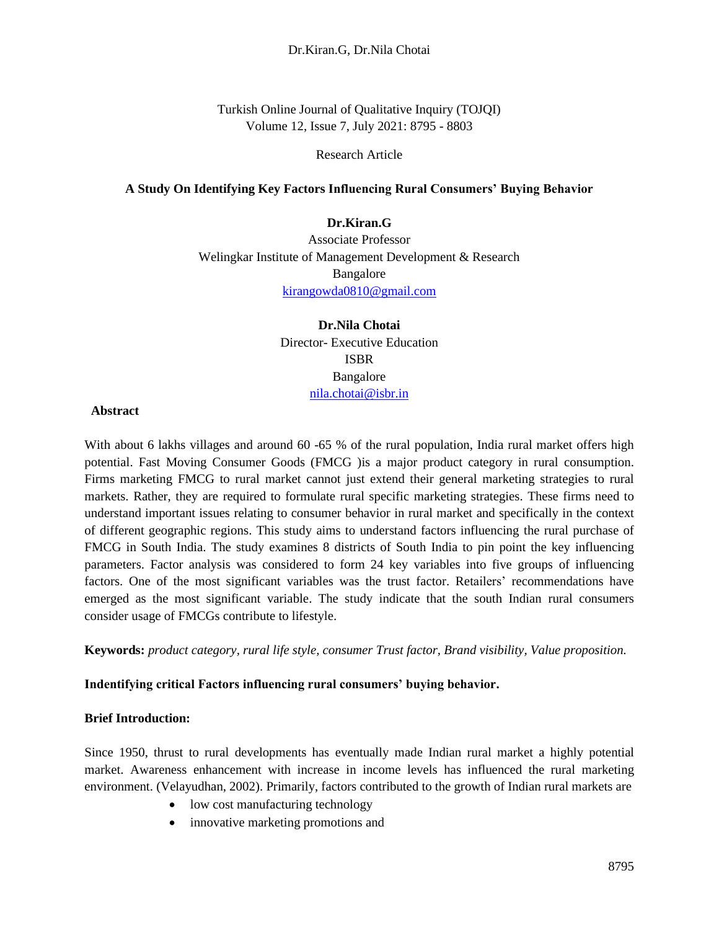Turkish Online Journal of Qualitative Inquiry (TOJQI) Volume 12, Issue 7, July 2021: 8795 - 8803

Research Article

### **A Study On Identifying Key Factors Influencing Rural Consumers' Buying Behavior**

## **Dr.Kiran.G**

Associate Professor Welingkar Institute of Management Development & Research Bangalore [kirangowda0810@gmail.com](mailto:kirangowda0810@gmail.com)

> **Dr.Nila Chotai** Director- Executive Education ISBR Bangalore [nila.chotai@isbr.in](mailto:nila.chotai@isbr.in)

#### **Abstract**

With about 6 lakhs villages and around 60 -65 % of the rural population, India rural market offers high potential. Fast Moving Consumer Goods (FMCG )is a major product category in rural consumption. Firms marketing FMCG to rural market cannot just extend their general marketing strategies to rural markets. Rather, they are required to formulate rural specific marketing strategies. These firms need to understand important issues relating to consumer behavior in rural market and specifically in the context of different geographic regions. This study aims to understand factors influencing the rural purchase of FMCG in South India. The study examines 8 districts of South India to pin point the key influencing parameters. Factor analysis was considered to form 24 key variables into five groups of influencing factors. One of the most significant variables was the trust factor. Retailers' recommendations have emerged as the most significant variable. The study indicate that the south Indian rural consumers consider usage of FMCGs contribute to lifestyle.

**Keywords:** *product category, rural life style, consumer Trust factor, Brand visibility, Value proposition.* 

## **Indentifying critical Factors influencing rural consumers' buying behavior.**

### **Brief Introduction:**

Since 1950, thrust to rural developments has eventually made Indian rural market a highly potential market. Awareness enhancement with increase in income levels has influenced the rural marketing environment. (Velayudhan, 2002). Primarily, factors contributed to the growth of Indian rural markets are

- low cost manufacturing technology
- innovative marketing promotions and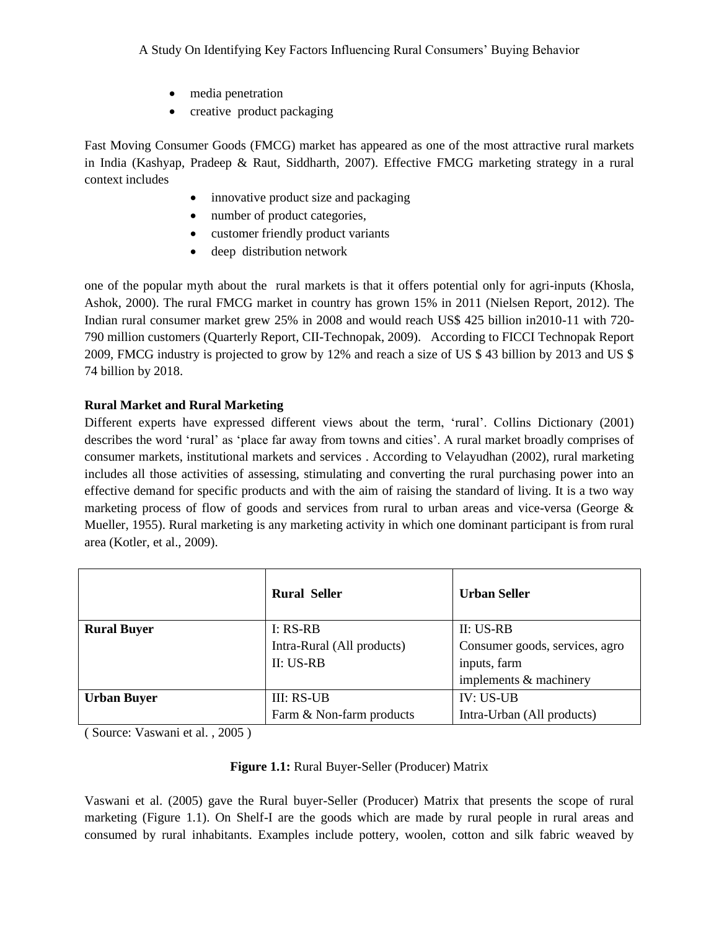- media penetration
- creative product packaging

Fast Moving Consumer Goods (FMCG) market has appeared as one of the most attractive rural markets in India (Kashyap, Pradeep & Raut, Siddharth, 2007). Effective FMCG marketing strategy in a rural context includes

- innovative product size and packaging
- number of product categories,
- customer friendly product variants
- deep distribution network

one of the popular myth about the rural markets is that it offers potential only for agri-inputs (Khosla, Ashok, 2000). The rural FMCG market in country has grown 15% in 2011 (Nielsen Report, 2012). The Indian rural consumer market grew 25% in 2008 and would reach US\$ 425 billion in2010-11 with 720- 790 million customers (Quarterly Report, CII-Technopak, 2009). According to FICCI Technopak Report 2009, FMCG industry is projected to grow by 12% and reach a size of US \$ 43 billion by 2013 and US \$ 74 billion by 2018.

# **Rural Market and Rural Marketing**

Different experts have expressed different views about the term, 'rural'. Collins Dictionary (2001) describes the word 'rural' as 'place far away from towns and cities'. A rural market broadly comprises of consumer markets, institutional markets and services . According to Velayudhan (2002), rural marketing includes all those activities of assessing, stimulating and converting the rural purchasing power into an effective demand for specific products and with the aim of raising the standard of living. It is a two way marketing process of flow of goods and services from rural to urban areas and vice-versa (George & Mueller, 1955). Rural marketing is any marketing activity in which one dominant participant is from rural area (Kotler, et al., 2009).

|                    | <b>Rural Seller</b>        | <b>Urban Seller</b>            |  |
|--------------------|----------------------------|--------------------------------|--|
| <b>Rural Buyer</b> | I: RS-RB                   | $II: US-RB$                    |  |
|                    | Intra-Rural (All products) | Consumer goods, services, agro |  |
|                    | II: US-RB                  | inputs, farm                   |  |
|                    |                            | implements & machinery         |  |
| <b>Urban Buyer</b> | III: RS-UB                 | $IV: US-UB$                    |  |
|                    | Farm & Non-farm products   | Intra-Urban (All products)     |  |

( Source: Vaswani et al. , 2005 )

# **Figure 1.1:** Rural Buyer-Seller (Producer) Matrix

Vaswani et al. (2005) gave the Rural buyer-Seller (Producer) Matrix that presents the scope of rural marketing (Figure 1.1). On Shelf-I are the goods which are made by rural people in rural areas and consumed by rural inhabitants. Examples include pottery, woolen, cotton and silk fabric weaved by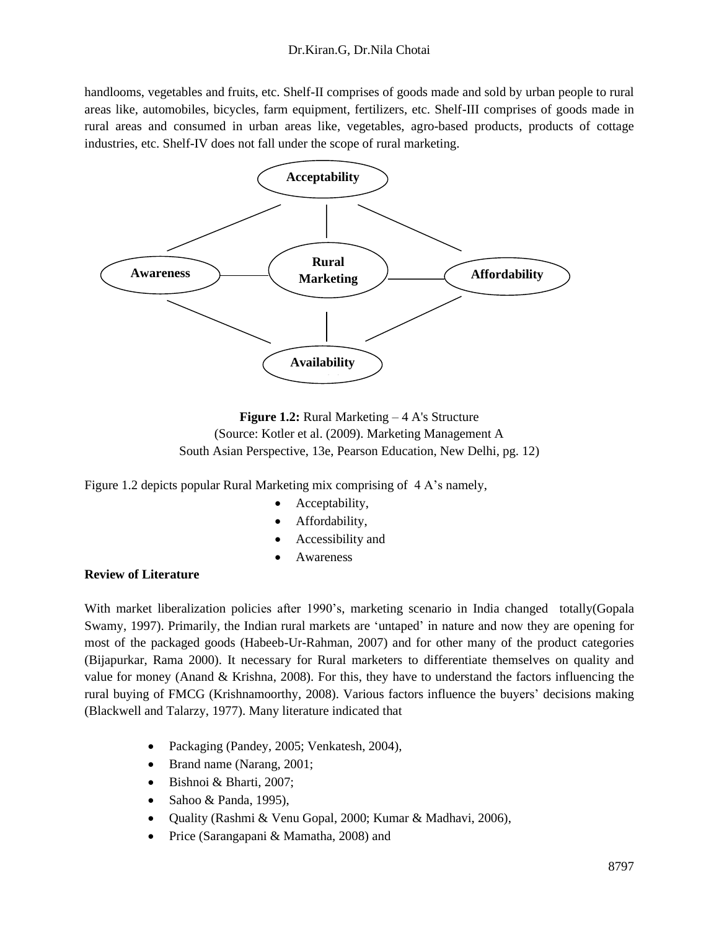handlooms, vegetables and fruits, etc. Shelf-II comprises of goods made and sold by urban people to rural areas like, automobiles, bicycles, farm equipment, fertilizers, etc. Shelf-III comprises of goods made in rural areas and consumed in urban areas like, vegetables, agro-based products, products of cottage industries, etc. Shelf-IV does not fall under the scope of rural marketing.





Figure 1.2 depicts popular Rural Marketing mix comprising of 4 A's namely,

- Acceptability,
- Affordability,
- Accessibility and
- **Awareness**

## **Review of Literature**

With market liberalization policies after 1990's, marketing scenario in India changed totally(Gopala Swamy, 1997). Primarily, the Indian rural markets are 'untaped' in nature and now they are opening for most of the packaged goods (Habeeb-Ur-Rahman, 2007) and for other many of the product categories (Bijapurkar, Rama 2000). It necessary for Rural marketers to differentiate themselves on quality and value for money (Anand & Krishna, 2008). For this, they have to understand the factors influencing the rural buying of FMCG (Krishnamoorthy, 2008). Various factors influence the buyers' decisions making (Blackwell and Talarzy, 1977). Many literature indicated that

- Packaging (Pandey, 2005; Venkatesh, 2004),
- Brand name (Narang, 2001;
- Bishnoi & Bharti, 2007;
- Sahoo & Panda, 1995),
- Quality (Rashmi & Venu Gopal, 2000; Kumar & Madhavi, 2006),
- Price (Sarangapani & Mamatha, 2008) and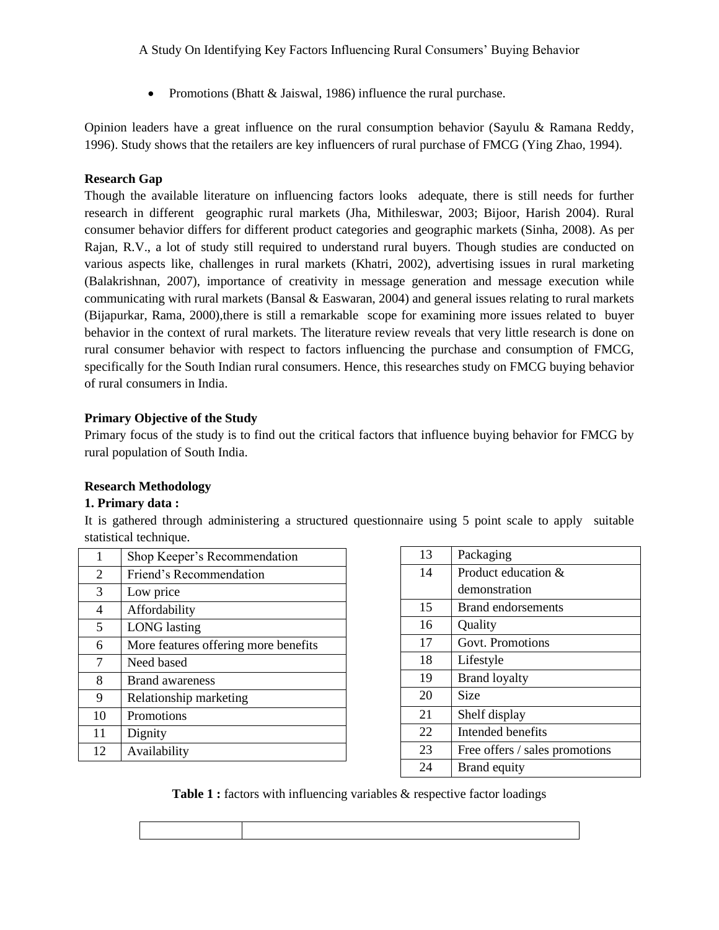• Promotions (Bhatt & Jaiswal, 1986) influence the rural purchase.

Opinion leaders have a great influence on the rural consumption behavior (Sayulu & Ramana Reddy, 1996). Study shows that the retailers are key influencers of rural purchase of FMCG (Ying Zhao, 1994).

## **Research Gap**

Though the available literature on influencing factors looks adequate, there is still needs for further research in different geographic rural markets (Jha, Mithileswar, 2003; Bijoor, Harish 2004). Rural consumer behavior differs for different product categories and geographic markets (Sinha, 2008). As per Rajan, R.V., a lot of study still required to understand rural buyers. Though studies are conducted on various aspects like, challenges in rural markets (Khatri, 2002), advertising issues in rural marketing (Balakrishnan, 2007), importance of creativity in message generation and message execution while communicating with rural markets (Bansal  $\&$  Easwaran, 2004) and general issues relating to rural markets (Bijapurkar, Rama, 2000),there is still a remarkable scope for examining more issues related to buyer behavior in the context of rural markets. The literature review reveals that very little research is done on rural consumer behavior with respect to factors influencing the purchase and consumption of FMCG, specifically for the South Indian rural consumers. Hence, this researches study on FMCG buying behavior of rural consumers in India.

# **Primary Objective of the Study**

Primary focus of the study is to find out the critical factors that influence buying behavior for FMCG by rural population of South India.

## **Research Methodology**

## **1. Primary data :**

It is gathered through administering a structured questionnaire using 5 point scale to apply suitable statistical technique.

| Shop Keeper's Recommendation<br>1<br>Friend's Recommendation<br>2<br>3<br>Low price<br>4<br>Affordability<br>5<br><b>LONG</b> lasting<br>More features offering more benefits<br>6<br>7<br>Need based<br>8<br><b>Brand awareness</b><br>9<br>Relationship marketing<br>Promotions<br>10<br>11<br>Dignity |    |              |
|----------------------------------------------------------------------------------------------------------------------------------------------------------------------------------------------------------------------------------------------------------------------------------------------------------|----|--------------|
|                                                                                                                                                                                                                                                                                                          |    |              |
|                                                                                                                                                                                                                                                                                                          |    |              |
|                                                                                                                                                                                                                                                                                                          |    |              |
|                                                                                                                                                                                                                                                                                                          |    |              |
|                                                                                                                                                                                                                                                                                                          |    |              |
|                                                                                                                                                                                                                                                                                                          |    |              |
|                                                                                                                                                                                                                                                                                                          |    |              |
|                                                                                                                                                                                                                                                                                                          |    |              |
|                                                                                                                                                                                                                                                                                                          |    |              |
|                                                                                                                                                                                                                                                                                                          |    |              |
|                                                                                                                                                                                                                                                                                                          |    |              |
|                                                                                                                                                                                                                                                                                                          | 12 | Availability |

| 13 | Packaging                      |
|----|--------------------------------|
| 14 | Product education &            |
|    | demonstration                  |
| 15 | Brand endorsements             |
| 16 | Quality                        |
| 17 | Govt. Promotions               |
| 18 | Lifestyle                      |
| 19 | <b>Brand loyalty</b>           |
| 20 | Size                           |
| 21 | Shelf display                  |
| 22 | Intended benefits              |
| 23 | Free offers / sales promotions |
| 24 | Brand equity                   |

**Table 1 :** factors with influencing variables & respective factor loadings

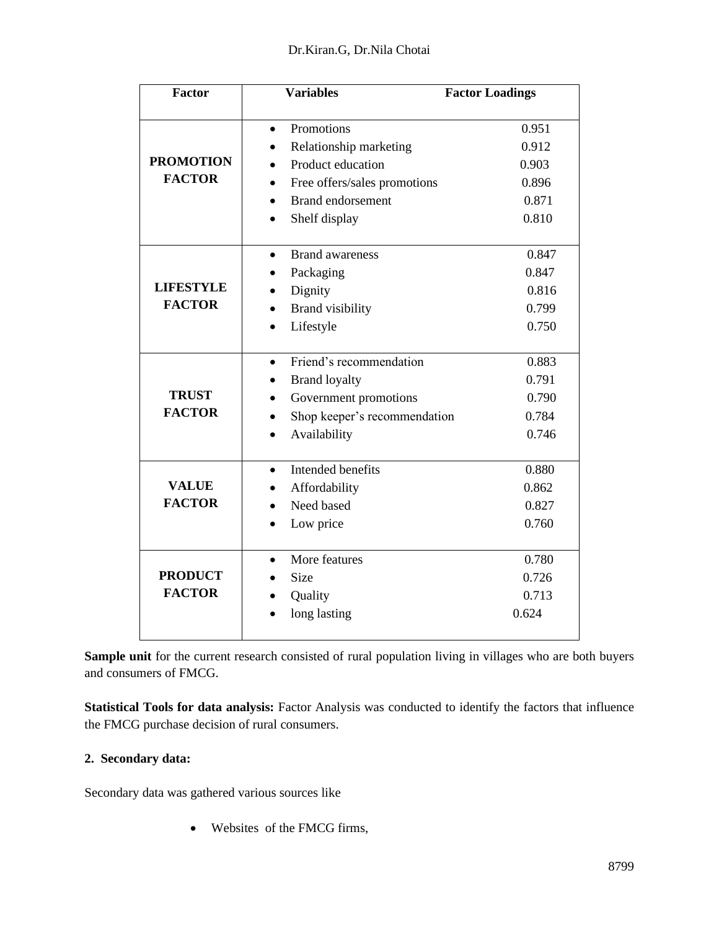| <b>Factor</b>                     | <b>Variables</b>                    | <b>Factor Loadings</b> |
|-----------------------------------|-------------------------------------|------------------------|
|                                   |                                     |                        |
| <b>PROMOTION</b><br><b>FACTOR</b> | Promotions                          | 0.951                  |
|                                   | Relationship marketing              | 0.912                  |
|                                   | Product education                   | 0.903                  |
|                                   | Free offers/sales promotions        | 0.896                  |
|                                   | <b>Brand endorsement</b>            | 0.871                  |
|                                   | Shelf display                       | 0.810                  |
|                                   | <b>Brand awareness</b><br>$\bullet$ | 0.847                  |
|                                   | Packaging                           | 0.847                  |
| <b>LIFESTYLE</b>                  | Dignity                             | 0.816                  |
| <b>FACTOR</b>                     | <b>Brand</b> visibility             | 0.799                  |
|                                   | Lifestyle                           | 0.750                  |
|                                   | Friend's recommendation             | 0.883                  |
| <b>TRUST</b>                      | <b>Brand loyalty</b>                | 0.791                  |
|                                   | Government promotions               | 0.790                  |
| <b>FACTOR</b>                     | Shop keeper's recommendation        | 0.784                  |
|                                   | Availability                        | 0.746                  |
|                                   | Intended benefits                   | 0.880                  |
| <b>VALUE</b>                      | Affordability                       | 0.862                  |
| <b>FACTOR</b>                     | Need based                          | 0.827                  |
|                                   | Low price                           | 0.760                  |
|                                   |                                     |                        |
| <b>PRODUCT</b><br><b>FACTOR</b>   | More features                       | 0.780                  |
|                                   | <b>Size</b>                         | 0.726                  |
|                                   | Quality                             | 0.713                  |
|                                   | long lasting                        | 0.624                  |
|                                   |                                     |                        |

Sample unit for the current research consisted of rural population living in villages who are both buyers and consumers of FMCG.

**Statistical Tools for data analysis:** Factor Analysis was conducted to identify the factors that influence the FMCG purchase decision of rural consumers.

# **2. Secondary data:**

Secondary data was gathered various sources like

• Websites of the FMCG firms,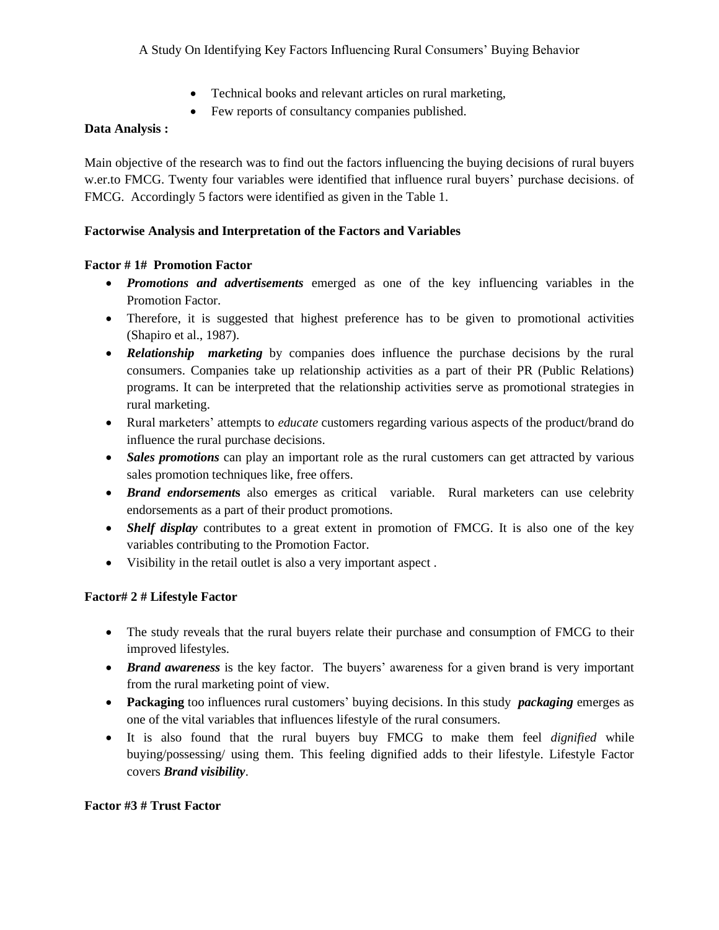- Technical books and relevant articles on rural marketing,
- Few reports of consultancy companies published.

## **Data Analysis :**

Main objective of the research was to find out the factors influencing the buying decisions of rural buyers w.er.to FMCG. Twenty four variables were identified that influence rural buyers' purchase decisions. of FMCG. Accordingly 5 factors were identified as given in the Table 1.

## **Factorwise Analysis and Interpretation of the Factors and Variables**

## **Factor # 1# Promotion Factor**

- *Promotions and advertisements* emerged as one of the key influencing variables in the Promotion Factor.
- Therefore, it is suggested that highest preference has to be given to promotional activities (Shapiro et al., 1987).
- **Relationship** marketing by companies does influence the purchase decisions by the rural consumers. Companies take up relationship activities as a part of their PR (Public Relations) programs. It can be interpreted that the relationship activities serve as promotional strategies in rural marketing.
- Rural marketers' attempts to *educate* customers regarding various aspects of the product/brand do influence the rural purchase decisions.
- *Sales promotions* can play an important role as the rural customers can get attracted by various sales promotion techniques like, free offers.
- *Brand endorsement***s** also emerges as critical variable. Rural marketers can use celebrity endorsements as a part of their product promotions.
- *Shelf display* contributes to a great extent in promotion of FMCG. It is also one of the key variables contributing to the Promotion Factor.
- Visibility in the retail outlet is also a very important aspect .

# **Factor# 2 # Lifestyle Factor**

- The study reveals that the rural buyers relate their purchase and consumption of FMCG to their improved lifestyles.
- *Brand awareness* is the key factor. The buyers' awareness for a given brand is very important from the rural marketing point of view.
- **Packaging** too influences rural customers' buying decisions. In this study *packaging* emerges as one of the vital variables that influences lifestyle of the rural consumers.
- It is also found that the rural buyers buy FMCG to make them feel *dignified* while buying/possessing/ using them. This feeling dignified adds to their lifestyle. Lifestyle Factor covers *Brand visibility*.

## **Factor #3 # Trust Factor**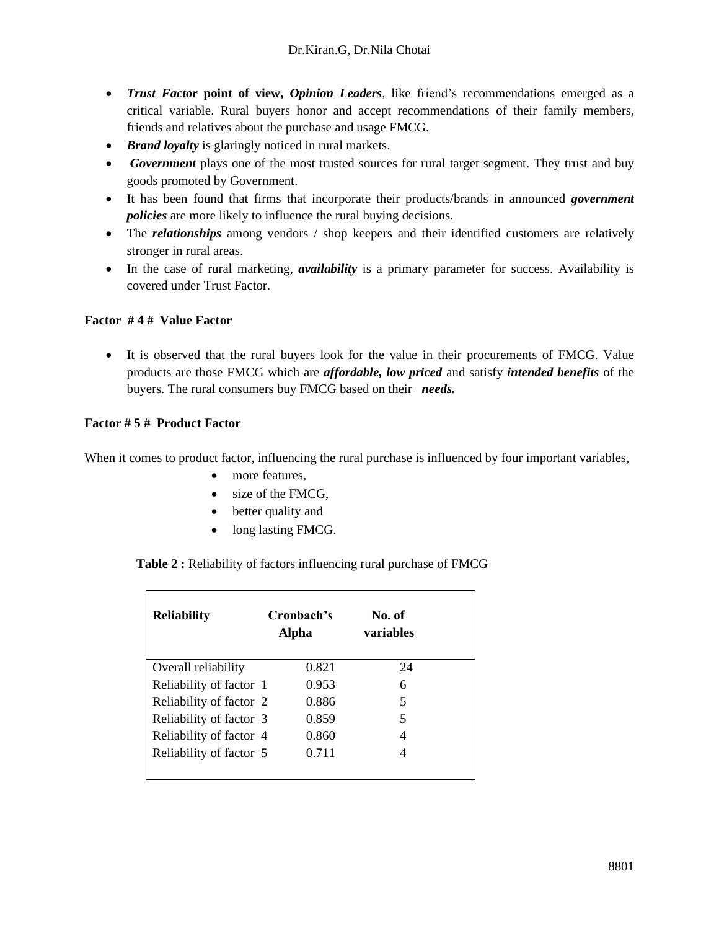- *Trust Factor* **point of view,** *Opinion Leaders,* like friend's recommendations emerged as a critical variable. Rural buyers honor and accept recommendations of their family members, friends and relatives about the purchase and usage FMCG.
- *Brand loyalty* is glaringly noticed in rural markets.
- *Government* plays one of the most trusted sources for rural target segment. They trust and buy goods promoted by Government.
- It has been found that firms that incorporate their products/brands in announced *government policies* are more likely to influence the rural buying decisions.
- The *relationships* among vendors / shop keepers and their identified customers are relatively stronger in rural areas.
- In the case of rural marketing, *availability* is a primary parameter for success. Availability is covered under Trust Factor.

# **Factor # 4 # Value Factor**

• It is observed that the rural buyers look for the value in their procurements of FMCG. Value products are those FMCG which are *affordable, low priced* and satisfy *intended benefits* of the buyers. The rural consumers buy FMCG based on their *needs.*

# **Factor # 5 # Product Factor**

When it comes to product factor, influencing the rural purchase is influenced by four important variables,

- more features.
- size of the FMCG.
- better quality and
- long lasting FMCG.

 **Table 2 :** Reliability of factors influencing rural purchase of FMCG

| <b>Reliability</b>      | Cronbach's<br>Alpha |       | No. of<br>variables |    |
|-------------------------|---------------------|-------|---------------------|----|
| Overall reliability     |                     | 0.821 |                     | 24 |
| Reliability of factor 1 |                     | 0.953 | 6                   |    |
| Reliability of factor 2 |                     | 0.886 | 5                   |    |
| Reliability of factor 3 |                     | 0.859 | 5                   |    |
| Reliability of factor 4 |                     | 0.860 | 4                   |    |
| Reliability of factor 5 |                     | 0.711 |                     |    |
|                         |                     |       |                     |    |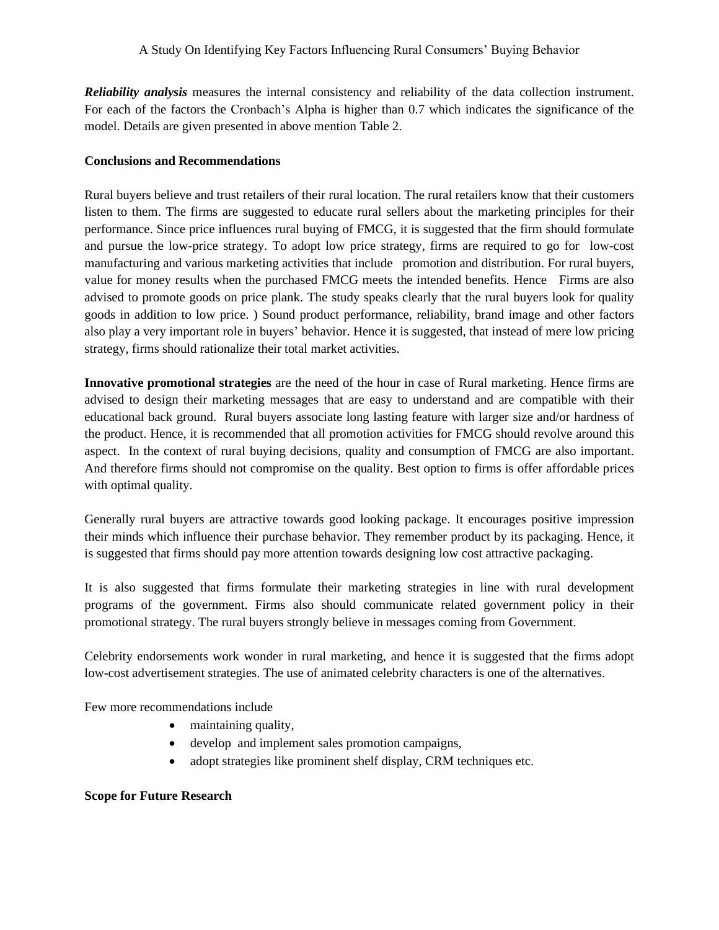*Reliability analysis* measures the internal consistency and reliability of the data collection instrument. For each of the factors the Cronbach's Alpha is higher than 0.7 which indicates the significance of the model. Details are given presented in above mention Table 2.

### **Conclusions and Recommendations**

Rural buyers believe and trust retailers of their rural location. The rural retailers know that their customers listen to them. The firms are suggested to educate rural sellers about the marketing principles for their performance. Since price influences rural buying of FMCG, it is suggested that the firm should formulate and pursue the low-price strategy. To adopt low price strategy, firms are required to go for low-cost manufacturing and various marketing activities that include promotion and distribution. For rural buyers, value for money results when the purchased FMCG meets the intended benefits. Hence Firms are also advised to promote goods on price plank. The study speaks clearly that the rural buyers look for quality goods in addition to low price. ) Sound product performance, reliability, brand image and other factors also play a very important role in buyers' behavior. Hence it is suggested, that instead of mere low pricing strategy, firms should rationalize their total market activities.

**Innovative promotional strategies** are the need of the hour in case of Rural marketing. Hence firms are advised to design their marketing messages that are easy to understand and are compatible with their educational back ground. Rural buyers associate long lasting feature with larger size and/or hardness of the product. Hence, it is recommended that all promotion activities for FMCG should revolve around this aspect. In the context of rural buying decisions, quality and consumption of FMCG are also important. And therefore firms should not compromise on the quality. Best option to firms is offer affordable prices with optimal quality.

Generally rural buyers are attractive towards good looking package. It encourages positive impression their minds which influence their purchase behavior. They remember product by its packaging. Hence, it is suggested that firms should pay more attention towards designing low cost attractive packaging.

It is also suggested that firms formulate their marketing strategies in line with rural development programs of the government. Firms also should communicate related government policy in their promotional strategy. The rural buyers strongly believe in messages coming from Government.

Celebrity endorsements work wonder in rural marketing, and hence it is suggested that the firms adopt low-cost advertisement strategies. The use of animated celebrity characters is one of the alternatives.

Few more recommendations include

- maintaining quality,
- develop and implement sales promotion campaigns,
- adopt strategies like prominent shelf display, CRM techniques etc.

## **Scope for Future Research**